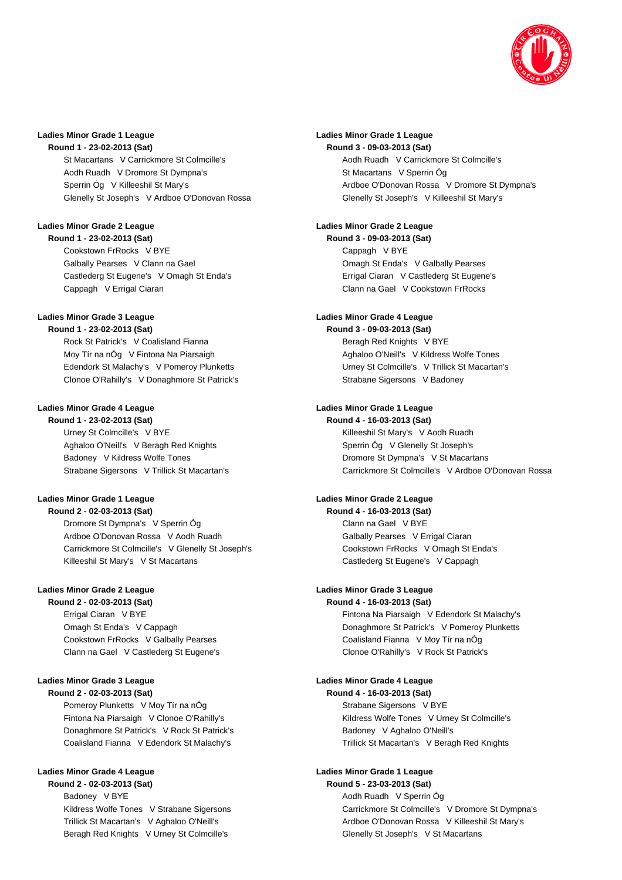

### **Ladies Minor Grade 1 League**

**Round 1 - 23-02-2013 (Sat)**

St Macartans V Carrickmore St Colmcille's Aodh Ruadh V Dromore St Dympna's Sperrin Óg V Killeeshil St Mary's Glenelly St Joseph's V Ardboe O'Donovan Rossa

#### **Ladies Minor Grade 2 League Round 1 - 23-02-2013 (Sat)**

Cookstown FrRocks V BYE Galbally Pearses V Clann na Gael Castlederg St Eugene's V Omagh St Enda's Cappagh V Errigal Ciaran

### **Ladies Minor Grade 3 League**

**Round 1 - 23-02-2013 (Sat)**

Rock St Patrick's V Coalisland Fianna Moy Tír na nÓg V Fintona Na Piarsaigh Edendork St Malachy's V Pomeroy Plunketts Clonoe O'Rahilly's V Donaghmore St Patrick's

## **Ladies Minor Grade 4 League**

**Round 1 - 23-02-2013 (Sat)** Urney St Colmcille's V BYE Aghaloo O'Neill's V Beragh Red Knights Badoney V Kildress Wolfe Tones Strabane Sigersons V Trillick St Macartan's

# **Ladies Minor Grade 1 League**

**Round 2 - 02-03-2013 (Sat)**

Dromore St Dympna's V Sperrin Óg Ardboe O'Donovan Rossa V Aodh Ruadh Carrickmore St Colmcille's V Glenelly St Joseph's Killeeshil St Mary's V St Macartans

# **Ladies Minor Grade 2 League**

**Round 2 - 02-03-2013 (Sat)** Errigal Ciaran V BYE Omagh St Enda's V Cappagh Cookstown FrRocks V Galbally Pearses Clann na Gael V Castlederg St Eugene's

# **Ladies Minor Grade 3 League**

**Round 2 - 02-03-2013 (Sat)** Pomeroy Plunketts V Moy Tír na nÓg Fintona Na Piarsaigh V Clonoe O'Rahilly's Donaghmore St Patrick's V Rock St Patrick's Coalisland Fianna V Edendork St Malachy's

### **Ladies Minor Grade 4 League**

**Round 2 - 02-03-2013 (Sat)** Badoney V BYE Kildress Wolfe Tones V Strabane Sigersons Trillick St Macartan's V Aghaloo O'Neill's Beragh Red Knights V Urney St Colmcille's

## **Ladies Minor Grade 1 League**

**Round 3 - 09-03-2013 (Sat)** Aodh Ruadh V Carrickmore St Colmcille's St Macartans V Sperrin Óg Ardboe O'Donovan Rossa V Dromore St Dympna's Glenelly St Joseph's V Killeeshil St Mary's

#### **Ladies Minor Grade 2 League Round 3 - 09-03-2013 (Sat)**

Cappagh V BYE Omagh St Enda's V Galbally Pearses Errigal Ciaran V Castlederg St Eugene's Clann na Gael V Cookstown FrRocks

# **Ladies Minor Grade 4 League**

**Round 3 - 09-03-2013 (Sat)** Beragh Red Knights V BYE Aghaloo O'Neill's V Kildress Wolfe Tones Urney St Colmcille's V Trillick St Macartan's Strabane Sigersons V Badoney

## **Ladies Minor Grade 1 League**

**Round 4 - 16-03-2013 (Sat)** Killeeshil St Mary's V Aodh Ruadh Sperrin Óg V Glenelly St Joseph's Dromore St Dympna's V St Macartans Carrickmore St Colmcille's V Ardboe O'Donovan Rossa

### **Ladies Minor Grade 2 League**

**Round 4 - 16-03-2013 (Sat)** Clann na Gael V BYE Galbally Pearses V Errigal Ciaran Cookstown FrRocks V Omagh St Enda's Castlederg St Eugene's V Cappagh

## **Ladies Minor Grade 3 League**

**Round 4 - 16-03-2013 (Sat)** Fintona Na Piarsaigh V Edendork St Malachy's Donaghmore St Patrick's V Pomeroy Plunketts Coalisland Fianna V Moy Tír na nÓg Clonoe O'Rahilly's V Rock St Patrick's

### **Ladies Minor Grade 4 League**

**Round 4 - 16-03-2013 (Sat)** Strabane Sigersons V BYE Kildress Wolfe Tones V Urney St Colmcille's Badoney V Aghaloo O'Neill's Trillick St Macartan's V Beragh Red Knights

### **Ladies Minor Grade 1 League**

**Round 5 - 23-03-2013 (Sat)** Aodh Ruadh V Sperrin Óg Carrickmore St Colmcille's V Dromore St Dympna's Ardboe O'Donovan Rossa V Killeeshil St Mary's Glenelly St Joseph's V St Macartans